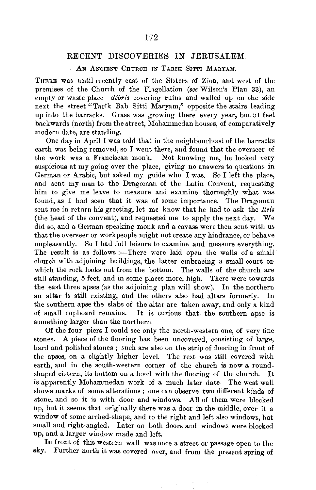## RECENT DISCOVERIES IN JERUSALEM.

AN ANCIENT CHURCH IN TARIK SITTI MARYAM.

THERE was until recently east of the Sisters of Zion, and west of the premises of the Clmreh of the Flagellation *(see* Wilson's Plan 33), an empty or waste place  $-d$ *ébris* covering ruins and walled up on the side next the street "Tarik Bab Sitti Maryam," opposite the stairs leading up into the barracks. Grass was growing there every year, but 51 feet backwards (north) from the street, Mohammedan houses, of comparatively modern date, are standing.

One day in April I was told that in the neighbourhood of the barracks earth was being removed, so I went there, and found that the overseer of the work was a Franciscan monk. Not knowing me, he looked very suspicious at my going over the place, giving no answers to questions in German or Arabic, but asked my guide who I was. So I left the place, and sent my man to the Dragoman of the Latin Convent, requesting him to give me leave to measure and examine thoroughly what was found, as I had seen that it was of some importance. The Dragoman sent me in return his greeting, let me know that he had to ask the *Reis*  (the head of the convent), and requested me to apply the next day. we did so, and a German-speaking monk and a cavass were then sent with us that the overseer or work people might not create any hindrance, or behave unpleasantly. So I had full leisure to examine and measure everything. The result is as follows :-There were laid open the walls of a small church with adjoining buildings, the latter embracing a small court on which the rock looks out from the bottom. The walls of the church are still standing, 5 feet, and in some places more, high. There were towards the east three apses (as the adjoining plan will show). In the northern an altar is still existing, and the others also had altars formerly. In the southern apse the slabs of the altar are taken away, and only a kind of small cnpboard remains. It is curious that the southern apse is something larger than the northern.

Of the four piers I could see only the north-western one, of very fine stones. A piece of the flooring has been uncovered, consisting of large, hard and polished stones ; such are also on the strip of flooring in front of the apses, on a slightly higher level. The rest was still covered with earth, and in the south-western corner of the church is now a roundshaped cistern, its bottom on a level with the flooring of the church. It is apparently Mohammedan work of a much later date. The west wall shows marks of some alterations ; one can observe two different kinds of stone, and so it is with door and windows. All of them were blocked up, but it seems that originally there was a door in, the middle, over it a window of some arched-shape, and to the right and left also windows, but small and right-angled. Later on both doors and windows were blocked up, and a larger window made and left.

In front of this western wall was once a street or passage open to the sky. Further north it was covered over, and from the present spring of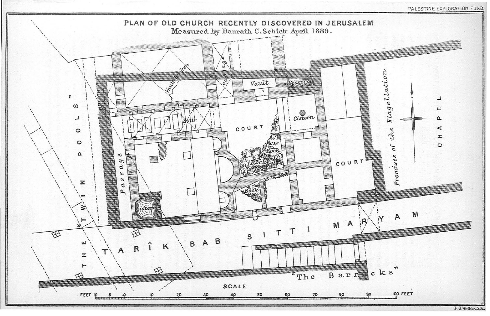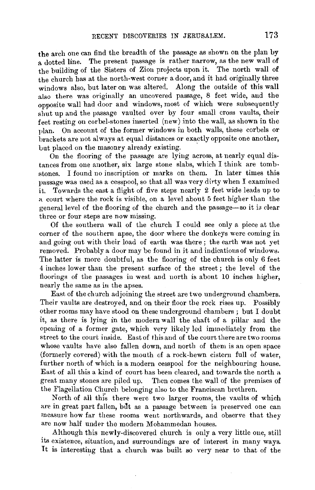the arch one can find the breadth of the passage as shown on the plan by a dotted line. The present passage is rather narrow, as the new wall of the building of the Sisters of Zion projects upon it. The north wall of the church has at the north-west corner a door, and it had originally three windows also, but later on was altered. Along the outside of this wall also there was originally an uncovered passage, 8 feet wide, and the opposite wall had door and windows, most of which were subsequently shut up and the passage vaulted over by four small cross vaults, their feet resting on corbel-stones inserted (new) into the wall, as shown in the plan. On account of the former windows in both walls, these corbels or brackets are not always at equal distances or exactly opposite one another, but placed on the masonry already existing.

On the flooring of the passage are lying across, at nearly equal distances from one another, six large stone slabs, which I think are tombstones. I found no inscription or marks on them. In later times this passage was used as a cesspool, so that all was very dirty when I examined it. Towards the east a flight of five steps nearly 2 feet wide leads up to a court where the rock is visible, on a level about 5 feet higher than the general level of the flooring of the church and the passage-so it is clear three or four steps are now missing.

Of the southern wall of the church I could see only a piece at the corner of the southern apse, the door where the donkeys were coming in and going out with their load of earth was there ; the earth was not yet removed. Probably a door may be found in it and indications of windows. The latter is more doubtful, as the flooring of the church is only 6 feet 4 inches lower than the present surface of the street ; the level of the floorings of the passages in west and north is about 10 inches higher, nearly the same as in the apses.

East of the church adjoining the street are two underground chambers. Their vaults are destroyed, and on their floor the rock rises up. Possibly other rooms may have stood on these underground chambers; but I doubt it, as there is lying in the modern wall the shaft of a pillar and the opening of a former gate, which very likely led immediately from the street to the court inside. East of this and of the court there are two rooms whose vaults have also fallen down, and north of them is an open space (formerly covered) with the mouth of a rock-hewn cistern full of water, further north of which is a modern cesspool for the neighbouring house. East of all this a kind of court has been cleared, and towards the north a great many stones are piled up. Then comes the wall of the premises of the Flagellation Church belonging also to the Franciscan brethren.

North of all this there were two larger rooms, the vaults of which are in great part fallen, but as a passage between is preserved one can 1neasure how far these rooms went northwards, and observe that they are now half under the modern Mohammedan houses.

Although this newly-discovered church is only a very little one, still its existence, situation, and surroundings are of interest in many ways. It is interesting that a church was built so very near to that of the